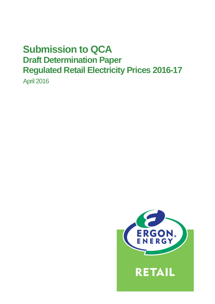# **Submission to QCA Draft Determination Paper Regulated Retail Electricity Prices 2016-17**

April 2016

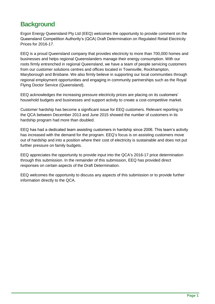# **Background**

Ergon Energy Queensland Pty Ltd (EEQ) welcomes the opportunity to provide comment on the Queensland Competition Authority's (QCA) Draft Determination on Regulated Retail Electricity Prices for 2016-17.

EEQ is a proud Queensland company that provides electricity to more than 700,000 homes and businesses and helps regional Queenslanders manage their energy consumption. With our roots firmly entrenched in regional Queensland, we have a team of people servicing customers from our customer solutions centres and offices located in Townsville, Rockhampton, Maryborough and Brisbane. We also firmly believe in supporting our local communities through regional employment opportunities and engaging in community partnerships such as the Royal Flying Doctor Service (Queensland).

EEQ acknowledges the increasing pressure electricity prices are placing on its customers' household budgets and businesses and support activity to create a cost-competitive market.

Customer hardship has become a significant issue for EEQ customers. Relevant reporting to the QCA between December 2013 and June 2015 showed the number of customers in its hardship program had more than doubled.

EEQ has had a dedicated team assisting customers in hardship since 2006. This team's activity has increased with the demand for the program. EEQ's focus is on assisting customers move out of hardship and into a position where their cost of electricity is sustainable and does not put further pressure on family budgets.

EEQ appreciates the opportunity to provide input into the QCA's 2016-17 price determination through this submission. In the remainder of this submission, EEQ has provided direct responses on certain aspects of the Draft Determination.

EEQ welcomes the opportunity to discuss any aspects of this submission or to provide further information directly to the QCA.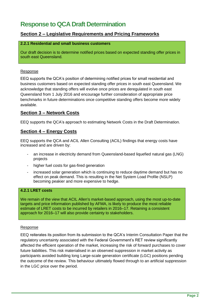# **Response to QCA Draft Determination**

### **Section 2 – Legislative Requirements and Pricing Frameworks**

#### **2.2.1 Residential and small business customers**

Our draft decision is to determine notified prices based on expected standing offer prices in south east Queensland.

#### Response

EEQ supports the QCA's position of determining notified prices for small residential and business customers based on expected standing offer prices in south east Queensland. We acknowledge that standing offers will evolve once prices are deregulated in south east Queensland from 1 July 2016 and encourage further consideration of appropriate price benchmarks in future determinations once competitive standing offers become more widely available.

#### **Section 3 – Network Costs**

EEQ supports the QCA's approach to estimating Network Costs in the Draft Determination.

#### **Section 4 – Energy Costs**

EEQ supports the QCA and ACIL Allen Consulting (ACIL) findings that energy costs have increased and are driven by:

- an increase in electricity demand from Queensland-based liquefied natural gas (LNG) projects
- higher fuel costs for gas-fired generation
- increased solar generation which is continuing to reduce daytime demand but has no effect on peak demand. This is resulting in the Net System Load Profile (NSLP) becoming peakier and more expensive to hedge.

#### **4.2.1 LRET costs**

We remain of the view that ACIL Allen's market-based approach, using the most up-to-date targets and price information published by AFMA, is likely to produce the most reliable estimate of LRET costs to be incurred by retailers in 2016–17. Retaining a consistent approach for 2016–17 will also provide certainty to stakeholders.

#### Response

EEQ reiterates its position from its submission to the QCA's Interim Consultation Paper that the regulatory uncertainty associated with the Federal Government's RET review significantly affected the efficient operation of the market, increasing the risk of forward purchases to cover future liabilities. This risk materialised in an observed suppression in market activity as participants avoided building long Large-scale generation certificate (LGC) positions pending the outcome of the review. This behaviour ultimately flowed through to an artificial suppression in the LGC price over the period.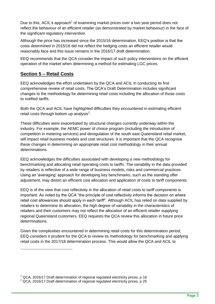Due to this, ACIL's approach<sup>1</sup> of examining market prices over a two year period does not reflect the behaviour of an efficient retailer (as demonstrated by market behaviour) in the face of the significant regulatory intervention.

Although the price has increased since the 2015/16 determination, EEQ's position is that the costs determined in 2015/16 did not reflect the hedging costs an efficient retailer would reasonably face and this issue remains in the 2016/17 draft determination.

EEQ recommends that the QCA consider the impact of such policy interventions on the efficient operation of the market when determining a method for estimating LGC prices.

## **Section 5 – Retail Costs**

-

EEQ acknowledges the effort undertaken by the QCA and ACIL in conducting its first comprehensive review of retail costs. The QCA's Draft Determination includes significant changes to the methodology for determining retail costs including the allocation of those costs to notified tariffs.

Both the QCA and ACIL have highlighted difficulties they encountered in estimating efficient retail costs through bottom up analysis $^2$ .

These difficulties were exacerbated by structural changes currently underway within the industry. For example, the AEMC power of choice program (including the introduction of competition in metering services) and deregulation of the south east Queensland retail market, will impact retail business models and cost structures. It is important that the QCA recognise these changes in determining an appropriate retail cost methodology in their annual determinations.

EEQ acknowledges the difficulties associated with developing a new methodology for benchmarking and allocating retail operating costs to tariffs. The variability in the data provided by retailers is reflective of a wide range of business models, risks and commercial practices. Using an 'averaging' approach for developing key benchmarks, such as the standing offer adjustment, may distort an efficient cost allocation and application of costs to tariff components.

EEQ is of the view that cost reflectivity in the allocation of retail costs to tariff components is important. As noted by the QCA "the principle of cost reflectivity informs the decision on where retail cost allowances should apply in each tariff". Although ACIL has relied on data supplied by retailers to determine its allocation, the high degree of variability in the characteristics of retailers and their customers may not reflect the allocation of an efficient retailer supplying regional Queensland customers. EEQ requests the QCA review this allocation in future price determinations.

Given the complexities encountered in determining retail costs for this determination period, EEQ considers it prudent for the QCA to review its methodology for benchmarking and applying retail costs in the 2017/18 determination process. This would allow the QCA and ACIL to

 $1$  QCA, 2016/17 Draft determination of regional regulated electricity prices, p 18

 $2$  QCA, 2016/17 Draft determination of regional regulated electricity prices, p 25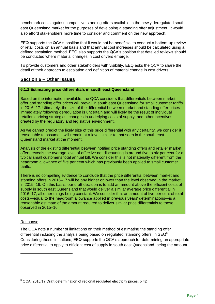benchmark costs against competitive standing offers available in the newly deregulated south east Queensland market for the purposes of developing a standing offer adjustment. It would also afford stakeholders more time to consider and comment on the new approach.

EEQ supports the QCA's position that it would not be beneficial to conduct a bottom-up review of retail costs on an annual basis and that annual cost increases should be calculated using a defined escalation method. EEQ also supports the QCA's position that detailed reviews should be conducted where material changes in cost drivers emerge.

To provide customers and other stakeholders with visibility, EEQ asks the QCA to share the detail of their approach to escalation and definition of material change in cost drivers.

### **Section 6 – Other Issues**

#### **6.1.1 Estimating price differentials in south east Queensland**

Based on the information available, the QCA considers that differentials between market offer and standing offer prices will prevail in south east Queensland for small customer tariffs in 2016–17. Ultimately, the size of the differential between market and standing offer prices immediately following deregulation is uncertain and will likely be the result of individual retailers' pricing strategies, changes in underlying costs of supply, and other incentives created by the regulatory and legislative environment.

As we cannot predict the likely size of this price differential with any certainty, we consider it reasonable to assume it will remain at a level similar to that seen in the south east Queensland market at the moment.

Analysis of the existing differential between notified price standing offers and retailer market offers reveals the average level of effective net discounting is around five to six per cent for a typical small customer's total annual bill. We consider this is not materially different from the headroom allowance of five per cent which has previously been applied to small customer tariffs.

There is no compelling evidence to conclude that the price differential between market and standing offers in 2016–17 will be any higher or lower than the level observed in the market in 2015–16. On this basis, our draft decision is to add an amount above the efficient costs of supply in south east Queensland that would deliver a similar average price differential in 2016–17, all other things being constant. We consider that an amount of five per cent of total costs—equal to the headroom allowance applied in previous years' determinations—is a reasonable estimate of the amount required to deliver similar price differentials to those observed in 2015–16.

#### Response

-

The QCA note a number of limitations on their method of estimating the standing offer differential including the analysis being based on regulated 'standing offers' in SEQ<sup>3</sup>. Considering these limitations, EEQ supports the QCA's approach for determining an appropriate price differential to apply to efficient cost of supply in south east Queensland, being the amount

 $3$  QCA, 2016/17 Draft determination of regional regulated electricity prices, p 42